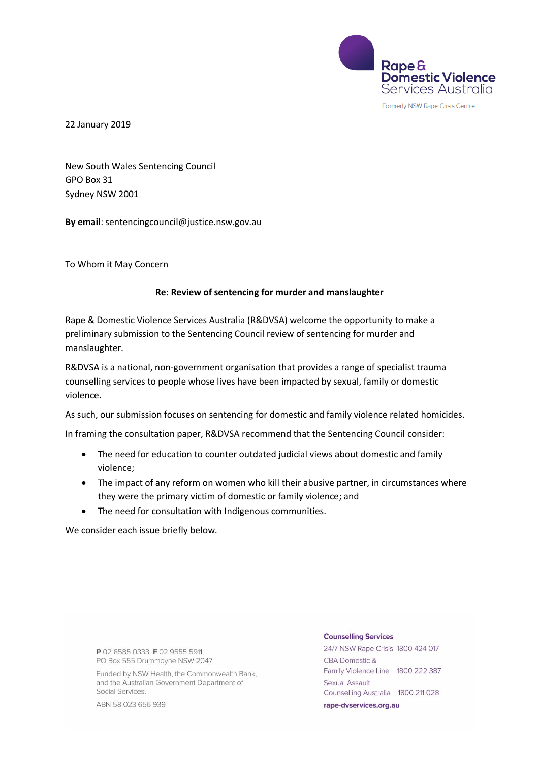

Formerly NSW Rape Crisis Centre

22 January 2019

New South Wales Sentencing Council GPO Box 31 Sydney NSW 2001

**By email**: sentencingcouncil@justice.nsw.gov.au

To Whom it May Concern

#### **Re: Review of sentencing for murder and manslaughter**

Rape & Domestic Violence Services Australia (R&DVSA) welcome the opportunity to make a preliminary submission to the Sentencing Council review of sentencing for murder and manslaughter.

R&DVSA is a national, non-government organisation that provides a range of specialist trauma counselling services to people whose lives have been impacted by sexual, family or domestic violence.

As such, our submission focuses on sentencing for domestic and family violence related homicides.

In framing the consultation paper, R&DVSA recommend that the Sentencing Council consider:

- The need for education to counter outdated judicial views about domestic and family violence;
- The impact of any reform on women who kill their abusive partner, in circumstances where they were the primary victim of domestic or family violence; and
- The need for consultation with Indigenous communities.

We consider each issue briefly below.

P 02 8585 0333 F 02 9555 5911 PO Box 555 Drummovne NSW 2047

Funded by NSW Health, the Commonwealth Bank, and the Australian Government Department of Social Services.

ABN 58 023 656 939

#### **Counselling Services**

24/7 NSW Rape Crisis 1800 424 017 **CBA Domestic &** Family Violence Line 1800 222 387 Sexual Assault Counselling Australia 1800 211 028 rape-dvservices.org.au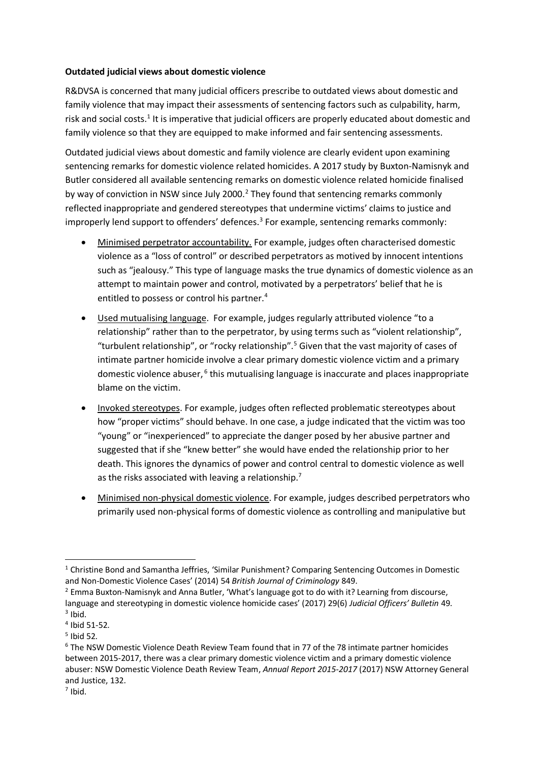## **Outdated judicial views about domestic violence**

R&DVSA is concerned that many judicial officers prescribe to outdated views about domestic and family violence that may impact their assessments of sentencing factors such as culpability, harm, risk and social costs.<sup>1</sup> It is imperative that judicial officers are properly educated about domestic and family violence so that they are equipped to make informed and fair sentencing assessments.

Outdated judicial views about domestic and family violence are clearly evident upon examining sentencing remarks for domestic violence related homicides. A 2017 study by Buxton-Namisnyk and Butler considered all available sentencing remarks on domestic violence related homicide finalised by way of conviction in NSW since July 2000.<sup>2</sup> They found that sentencing remarks commonly reflected inappropriate and gendered stereotypes that undermine victims' claims to justice and improperly lend support to offenders' defences.<sup>3</sup> For example, sentencing remarks commonly:

- Minimised perpetrator accountability. For example, judges often characterised domestic violence as a "loss of control" or described perpetrators as motived by innocent intentions such as "jealousy." This type of language masks the true dynamics of domestic violence as an attempt to maintain power and control, motivated by a perpetrators' belief that he is entitled to possess or control his partner.<sup>4</sup>
- Used mutualising language. For example, judges regularly attributed violence "to a relationship" rather than to the perpetrator, by using terms such as "violent relationship", "turbulent relationship", or "rocky relationship".<sup>5</sup> Given that the vast majority of cases of intimate partner homicide involve a clear primary domestic violence victim and a primary domestic violence abuser, <sup>6</sup> this mutualising language is inaccurate and places inappropriate blame on the victim.
- Invoked stereotypes. For example, judges often reflected problematic stereotypes about how "proper victims" should behave. In one case, a judge indicated that the victim was too "young" or "inexperienced" to appreciate the danger posed by her abusive partner and suggested that if she "knew better" she would have ended the relationship prior to her death. This ignores the dynamics of power and control central to domestic violence as well as the risks associated with leaving a relationship.<sup>7</sup>
- Minimised non-physical domestic violence. For example, judges described perpetrators who primarily used non-physical forms of domestic violence as controlling and manipulative but

<sup>-</sup> $1$  Christine Bond and Samantha Jeffries, 'Similar Punishment? Comparing Sentencing Outcomes in Domestic and Non-Domestic Violence Cases' (2014) 54 *British Journal of Criminology* 849.

 $<sup>2</sup>$  Emma Buxton-Namisnyk and Anna Butler, 'What's language got to do with it? Learning from discourse,</sup> language and stereotyping in domestic violence homicide cases' (2017) 29(6) *Judicial Officers' Bulletin* 49.  $3$  Ibid.

<sup>4</sup> Ibid 51-52.

 $<sup>5</sup>$  Ibid 52.</sup>

 $6$  The NSW Domestic Violence Death Review Team found that in 77 of the 78 intimate partner homicides between 2015-2017, there was a clear primary domestic violence victim and a primary domestic violence abuser: NSW Domestic Violence Death Review Team, *Annual Report 2015-2017* (2017) NSW Attorney General and Justice, 132.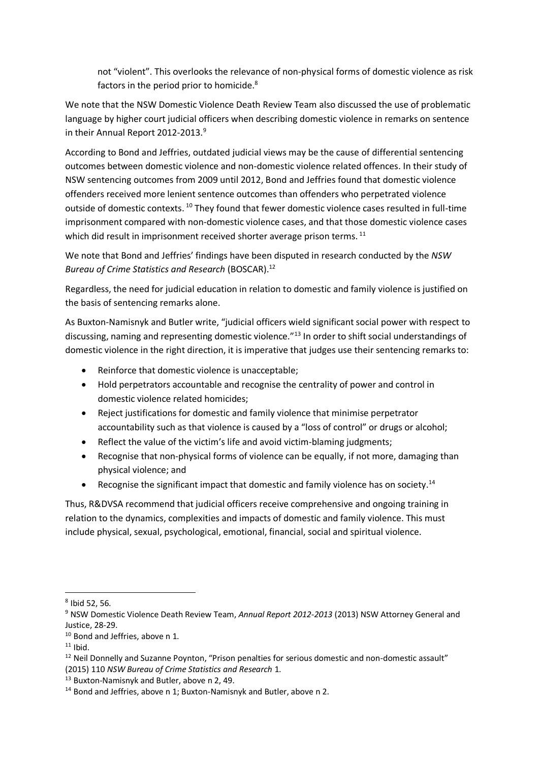not "violent". This overlooks the relevance of non-physical forms of domestic violence as risk factors in the period prior to homicide.<sup>8</sup>

We note that the NSW Domestic Violence Death Review Team also discussed the use of problematic language by higher court judicial officers when describing domestic violence in remarks on sentence in their Annual Report 2012-2013. 9

According to Bond and Jeffries, outdated judicial views may be the cause of differential sentencing outcomes between domestic violence and non-domestic violence related offences. In their study of NSW sentencing outcomes from 2009 until 2012, Bond and Jeffries found that domestic violence offenders received more lenient sentence outcomes than offenders who perpetrated violence outside of domestic contexts.<sup>10</sup> They found that fewer domestic violence cases resulted in full-time imprisonment compared with non-domestic violence cases, and that those domestic violence cases which did result in imprisonment received shorter average prison terms.<sup>11</sup>

We note that Bond and Jeffries' findings have been disputed in research conducted by the *NSW Bureau of Crime Statistics and Research* (BOSCAR). 12

Regardless, the need for judicial education in relation to domestic and family violence is justified on the basis of sentencing remarks alone.

As Buxton-Namisnyk and Butler write, "judicial officers wield significant social power with respect to discussing, naming and representing domestic violence.<sup>"13</sup> In order to shift social understandings of domestic violence in the right direction, it is imperative that judges use their sentencing remarks to:

- Reinforce that domestic violence is unacceptable;
- Hold perpetrators accountable and recognise the centrality of power and control in domestic violence related homicides;
- Reject justifications for domestic and family violence that minimise perpetrator accountability such as that violence is caused by a "loss of control" or drugs or alcohol;
- Reflect the value of the victim's life and avoid victim-blaming judgments;
- Recognise that non-physical forms of violence can be equally, if not more, damaging than physical violence; and
- Recognise the significant impact that domestic and family violence has on society.<sup>14</sup>

Thus, R&DVSA recommend that judicial officers receive comprehensive and ongoing training in relation to the dynamics, complexities and impacts of domestic and family violence. This must include physical, sexual, psychological, emotional, financial, social and spiritual violence.

**.** 

<sup>8</sup> Ibid 52, 56.

<sup>9</sup> NSW Domestic Violence Death Review Team, *Annual Report 2012-2013* (2013) NSW Attorney General and Justice, 28-29.

<sup>10</sup> Bond and Jeffries, above n 1.

 $11$  Ibid.

<sup>&</sup>lt;sup>12</sup> Neil Donnelly and Suzanne Poynton, "Prison penalties for serious domestic and non-domestic assault" (2015) 110 *NSW Bureau of Crime Statistics and Research* 1.

<sup>13</sup> Buxton-Namisnyk and Butler, above n 2, 49.

<sup>&</sup>lt;sup>14</sup> Bond and Jeffries, above n 1; Buxton-Namisnyk and Butler, above n 2.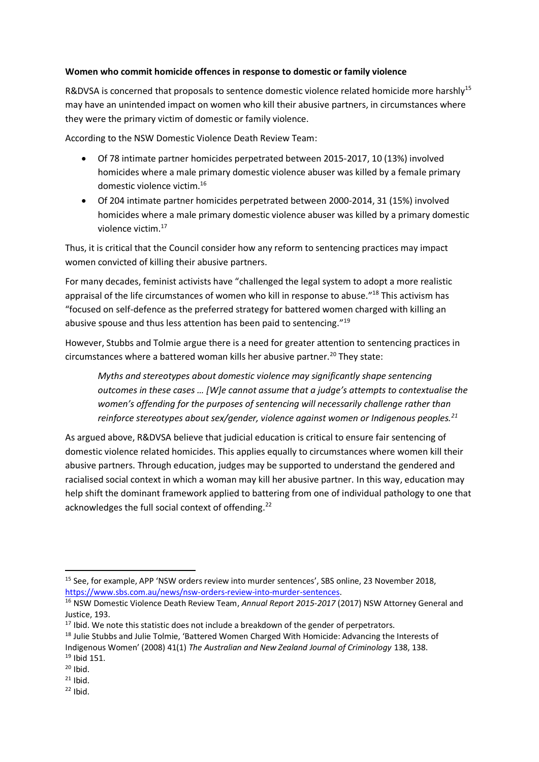### **Women who commit homicide offences in response to domestic or family violence**

R&DVSA is concerned that proposals to sentence domestic violence related homicide more harshly<sup>15</sup> may have an unintended impact on women who kill their abusive partners, in circumstances where they were the primary victim of domestic or family violence.

According to the NSW Domestic Violence Death Review Team:

- Of 78 intimate partner homicides perpetrated between 2015-2017, 10 (13%) involved homicides where a male primary domestic violence abuser was killed by a female primary domestic violence victim.<sup>16</sup>
- Of 204 intimate partner homicides perpetrated between 2000-2014, 31 (15%) involved homicides where a male primary domestic violence abuser was killed by a primary domestic violence victim.<sup>17</sup>

Thus, it is critical that the Council consider how any reform to sentencing practices may impact women convicted of killing their abusive partners.

For many decades, feminist activists have "challenged the legal system to adopt a more realistic appraisal of the life circumstances of women who kill in response to abuse."<sup>18</sup> This activism has "focused on self-defence as the preferred strategy for battered women charged with killing an abusive spouse and thus less attention has been paid to sentencing."<sup>19</sup>

However, Stubbs and Tolmie argue there is a need for greater attention to sentencing practices in circumstances where a battered woman kills her abusive partner.<sup>20</sup> They state:

*Myths and stereotypes about domestic violence may significantly shape sentencing outcomes in these cases … [W]e cannot assume that a judge's attempts to contextualise the women's offending for the purposes of sentencing will necessarily challenge rather than reinforce stereotypes about sex/gender, violence against women or Indigenous peoples.<sup>21</sup>*

As argued above, R&DVSA believe that judicial education is critical to ensure fair sentencing of domestic violence related homicides. This applies equally to circumstances where women kill their abusive partners. Through education, judges may be supported to understand the gendered and racialised social context in which a woman may kill her abusive partner. In this way, education may help shift the dominant framework applied to battering from one of individual pathology to one that acknowledges the full social context of offending.<sup>22</sup>

<sup>-</sup><sup>15</sup> See, for example, APP 'NSW orders review into murder sentences', SBS online, 23 November 2018, https://www.sbs.com.au/news/nsw-orders-review-into-murder-sentences.

<sup>&</sup>lt;sup>16</sup> NSW Domestic Violence Death Review Team, *Annual Report 2015-2017* (2017) NSW Attorney General and Justice, 193.

 $17$  Ibid. We note this statistic does not include a breakdown of the gender of perpetrators.

<sup>&</sup>lt;sup>18</sup> Julie Stubbs and Julie Tolmie, 'Battered Women Charged With Homicide: Advancing the Interests of Indigenous Women' (2008) 41(1) *The Australian and New Zealand Journal of Criminology* 138, 138. <sup>19</sup> Ibid 151.

 $20$  Ibid.

 $21$  Ibid.

 $22$  Ibid.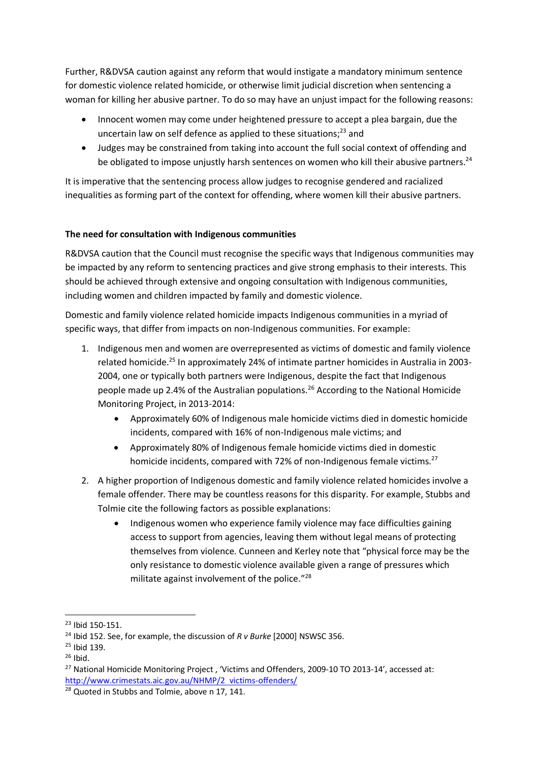Further, R&DVSA caution against any reform that would instigate a mandatory minimum sentence for domestic violence related homicide, or otherwise limit judicial discretion when sentencing a woman for killing her abusive partner. To do so may have an unjust impact for the following reasons:

- Innocent women may come under heightened pressure to accept a plea bargain, due the uncertain law on self defence as applied to these situations;<sup>23</sup> and
- Judges may be constrained from taking into account the full social context of offending and be obligated to impose unjustly harsh sentences on women who kill their abusive partners.<sup>24</sup>

It is imperative that the sentencing process allow judges to recognise gendered and racialized inequalities as forming part of the context for offending, where women kill their abusive partners.

# **The need for consultation with Indigenous communities**

R&DVSA caution that the Council must recognise the specific ways that Indigenous communities may be impacted by any reform to sentencing practices and give strong emphasis to their interests. This should be achieved through extensive and ongoing consultation with Indigenous communities, including women and children impacted by family and domestic violence.

Domestic and family violence related homicide impacts Indigenous communities in a myriad of specific ways, that differ from impacts on non-Indigenous communities. For example:

- 1. Indigenous men and women are overrepresented as victims of domestic and family violence related homicide.<sup>25</sup> In approximately 24% of intimate partner homicides in Australia in 2003-2004, one or typically both partners were Indigenous, despite the fact that Indigenous people made up 2.4% of the Australian populations.<sup>26</sup> According to the National Homicide Monitoring Project, in 2013-2014:
	- Approximately 60% of Indigenous male homicide victims died in domestic homicide incidents, compared with 16% of non-Indigenous male victims; and
	- Approximately 80% of Indigenous female homicide victims died in domestic homicide incidents, compared with 72% of non-Indigenous female victims.<sup>27</sup>
- 2. A higher proportion of Indigenous domestic and family violence related homicides involve a female offender. There may be countless reasons for this disparity. For example, Stubbs and Tolmie cite the following factors as possible explanations:
	- Indigenous women who experience family violence may face difficulties gaining access to support from agencies, leaving them without legal means of protecting themselves from violence. Cunneen and Kerley note that "physical force may be the only resistance to domestic violence available given a range of pressures which militate against involvement of the police."<sup>28</sup>

1

<sup>23</sup> Ibid 150-151.

<sup>24</sup> Ibid 152. See, for example, the discussion of *R v Burke* [2000] NSWSC 356.

 $25$  Ibid 139.

 $26$  Ibid.

<sup>&</sup>lt;sup>27</sup> National Homicide Monitoring Project, 'Victims and Offenders, 2009-10 TO 2013-14', accessed at: http://www.crimestats.aic.gov.au/NHMP/2 victims-offenders/

<sup>&</sup>lt;sup>28</sup> Quoted in Stubbs and Tolmie, above n 17, 141.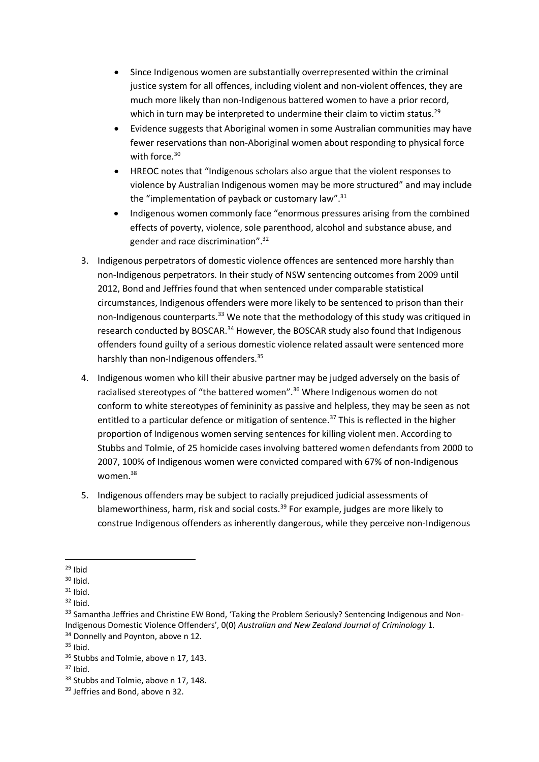- Since Indigenous women are substantially overrepresented within the criminal justice system for all offences, including violent and non-violent offences, they are much more likely than non-Indigenous battered women to have a prior record, which in turn may be interpreted to undermine their claim to victim status.<sup>29</sup>
- Evidence suggests that Aboriginal women in some Australian communities may have fewer reservations than non-Aboriginal women about responding to physical force with force.<sup>30</sup>
- HREOC notes that "Indigenous scholars also argue that the violent responses to violence by Australian Indigenous women may be more structured" and may include the "implementation of payback or customary law".<sup>31</sup>
- Indigenous women commonly face "enormous pressures arising from the combined effects of poverty, violence, sole parenthood, alcohol and substance abuse, and gender and race discrimination".<sup>32</sup>
- 3. Indigenous perpetrators of domestic violence offences are sentenced more harshly than non-Indigenous perpetrators. In their study of NSW sentencing outcomes from 2009 until 2012, Bond and Jeffries found that when sentenced under comparable statistical circumstances, Indigenous offenders were more likely to be sentenced to prison than their non-Indigenous counterparts.<sup>33</sup> We note that the methodology of this study was critiqued in research conducted by BOSCAR.<sup>34</sup> However, the BOSCAR study also found that Indigenous offenders found guilty of a serious domestic violence related assault were sentenced more harshly than non-Indigenous offenders.<sup>35</sup>
- 4. Indigenous women who kill their abusive partner may be judged adversely on the basis of racialised stereotypes of "the battered women".<sup>36</sup> Where Indigenous women do not conform to white stereotypes of femininity as passive and helpless, they may be seen as not entitled to a particular defence or mitigation of sentence.<sup>37</sup> This is reflected in the higher proportion of Indigenous women serving sentences for killing violent men. According to Stubbs and Tolmie, of 25 homicide cases involving battered women defendants from 2000 to 2007, 100% of Indigenous women were convicted compared with 67% of non-Indigenous women.<sup>38</sup>
- 5. Indigenous offenders may be subject to racially prejudiced judicial assessments of blameworthiness, harm, risk and social costs.<sup>39</sup> For example, judges are more likely to construe Indigenous offenders as inherently dangerous, while they perceive non-Indigenous

<sup>-</sup> $29$  Ibid

 $30$  Ibid.

 $31$  Ibid.

 $32$  Ibid.

<sup>33</sup> Samantha Jeffries and Christine EW Bond, 'Taking the Problem Seriously? Sentencing Indigenous and Non-Indigenous Domestic Violence Offenders', 0(0) *Australian and New Zealand Journal of Criminology* 1. <sup>34</sup> Donnelly and Poynton, above n 12.

 $35$  Ibid.

<sup>&</sup>lt;sup>36</sup> Stubbs and Tolmie, above n 17, 143.

 $37$  Ibid.

<sup>&</sup>lt;sup>38</sup> Stubbs and Tolmie, above n 17, 148.

<sup>&</sup>lt;sup>39</sup> Jeffries and Bond, above n 32.